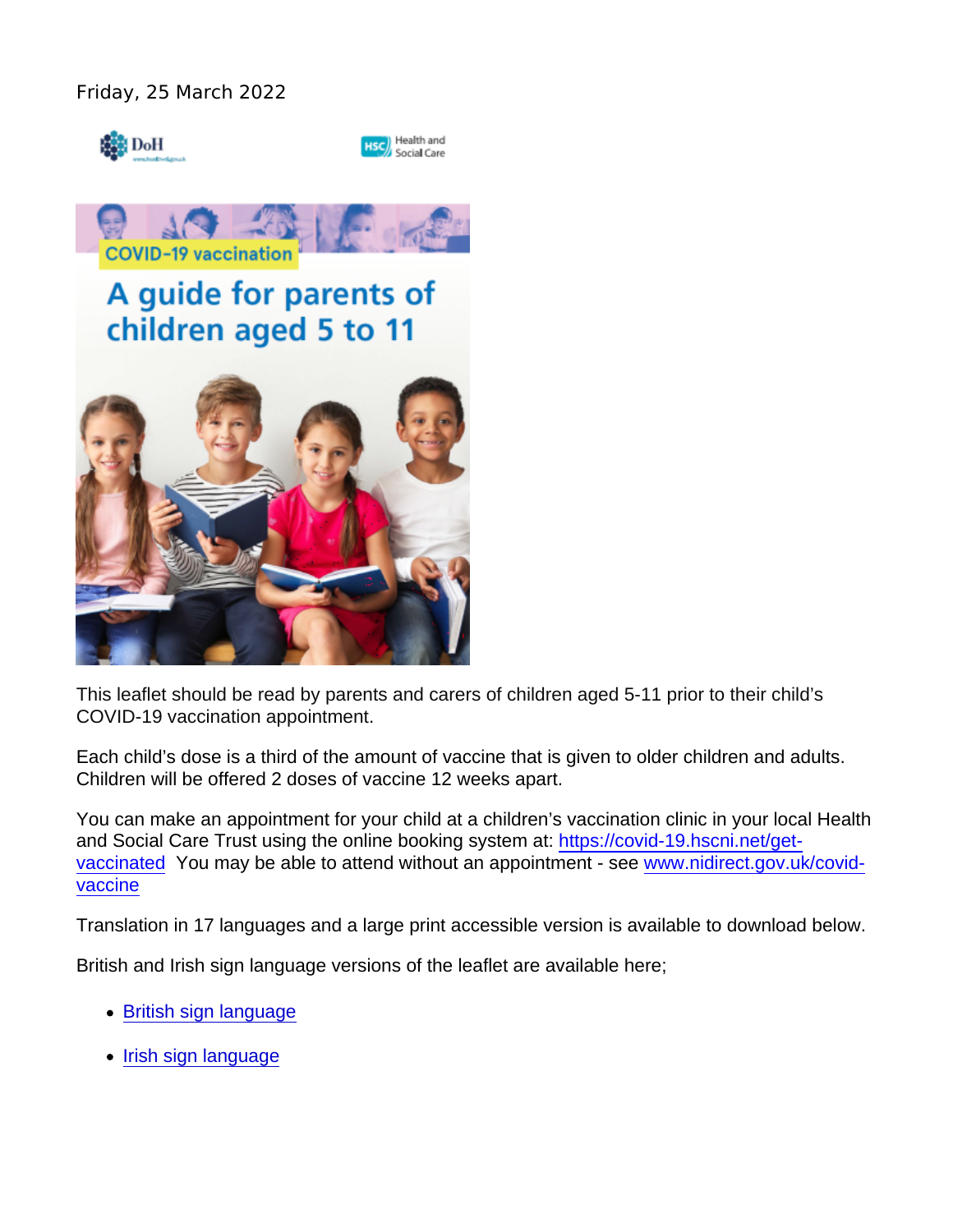This leaflet should be read by parents and carers of children aged 5-11 prior to their child's COVID-19 vaccination appointment.

Each child's dose is a third of the amount of vaccine that is given to older children and adults. Children will be offered 2 doses of vaccine 12 weeks apart.

You can make an appointment for your child at a children's vaccination clinic in your local Health and Social Care Trust using the online booking system at: [https://covid-19.hscni.net/get](https://covid-19.hscni.net/get-vaccinated)[vaccinated](https://covid-19.hscni.net/get-vaccinated) You may be able to attend without an appointment - see [www.nidirect.gov.uk/covid](http://www.nidirect.gov.uk/covid-vaccine)[vaccine](http://www.nidirect.gov.uk/covid-vaccine)

Translation in 17 languages and a large print accessible version is available to download below.

British and Irish sign language versions of the leaflet are available here;

- [British sign language](https://vimeo.com/693022464)
- [Irish sign language](https://vimeo.com/693039508)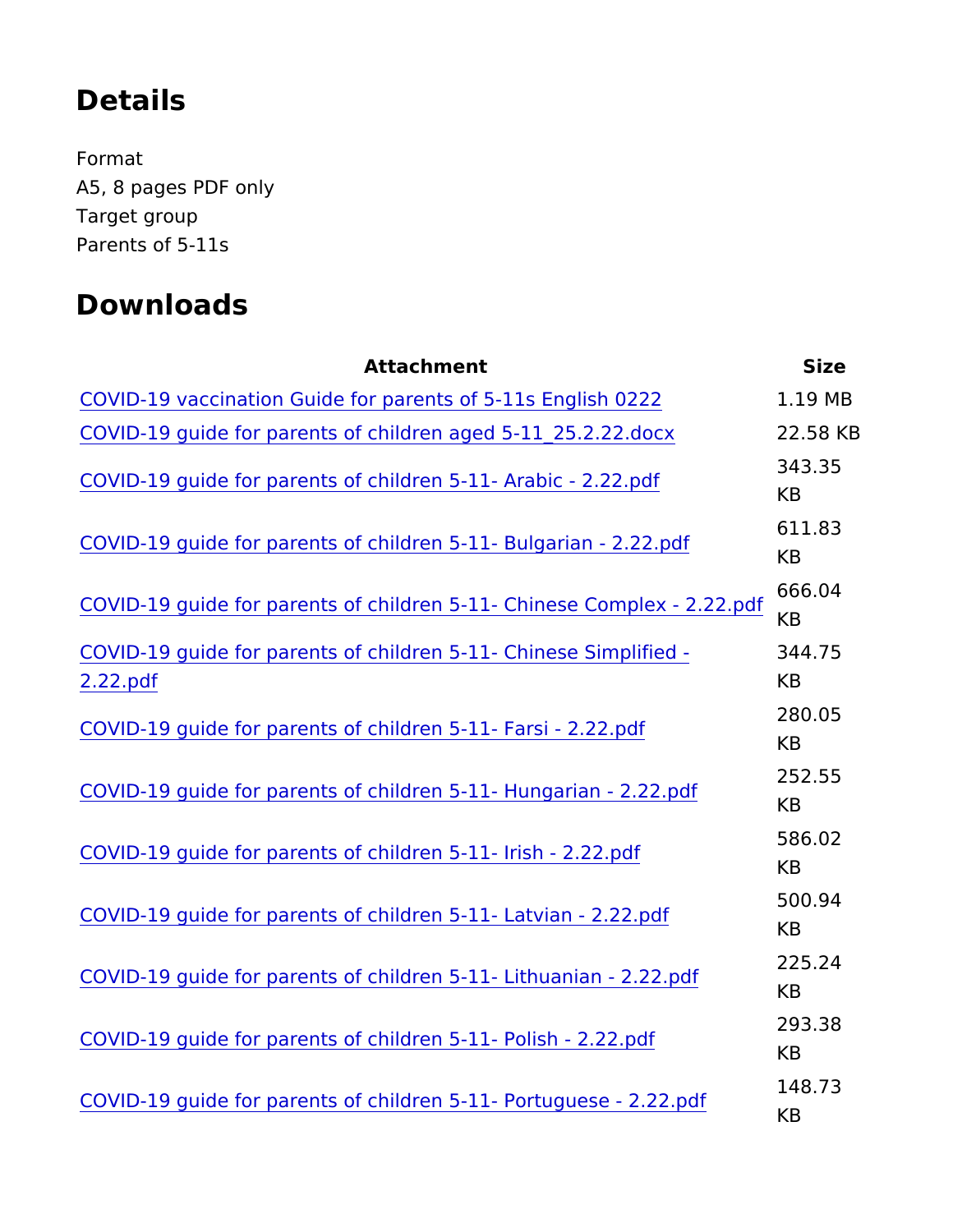## Details

Format A5, 8 pages PDF only Target group Parents of 5-11s

## Downloads

Attachment Size [COVID-19 vaccination Guide for parents of](https://www.publichealth.hscni.net/sites/default/files/2022-02/COVID-19_Guide_for_parents_of_5-11years_A5_8pp_leaflet_25_02_22 FINAL.PDF) 5-11s English MB22 [COVID-19 guide for parents of children aged](https://www.publichealth.hscni.net/sites/default/files/2022-02/COVID-19 guide for parents of children aged 5-11_25.2.22.docx) 5-11\_252.20.5282.KBBcx [COVID-19 guide for parents of children 5-11](https://www.publichealth.hscni.net/sites/default/files/2022-03/COVID-19 guide for parents of children 5-11- Arabic - 2.22.pdf)- Arabic - 2.22.pdf 343.35 KB [COVID-19 guide for parents of children 5-11-](https://www.publichealth.hscni.net/sites/default/files/2022-03/COVID-19 guide for parents of children 5-11- Bulgarian - 2.22.pdf) Bulgarian - 2.22.pd 611.83 KB [COVID-19 guide for parents of children 5-11- Chine](https://www.publichealth.hscni.net/sites/default/files/2022-03/COVID-19 guide for parents of children 5-11- Chinese Complex - 2.22.pdf)se Complex -666.04 KB [COVID-19 guide for parents of children 5-11-](https://www.publichealth.hscni.net/sites/default/files/2022-03/COVID-19 guide for parents of children 5-11- Chinese Simplified - 2.22.pdf) Chines 348 implified [2.22.p](https://www.publichealth.hscni.net/sites/default/files/2022-03/COVID-19 guide for parents of children 5-11- Chinese Simplified - 2.22.pdf)df KB [COVID-19 guide for parents of children 5-1](https://www.publichealth.hscni.net/sites/default/files/2022-03/COVID-19 guide for parents of children 5-11- Farsi - 2.22.pdf)1- Farsi - 2.22.pdf 280.05 KB [COVID-19 guide for parents of children 5-11- H](https://www.publichealth.hscni.net/sites/default/files/2022-03/COVID-19 guide for parents of children 5-11- Hungarian - 2.22.pdf)ungarian - 2.22.pd 252.55 KB [COVID-19 guide for parents of children 5-](https://www.publichealth.hscni.net/sites/default/files/2022-03/COVID-19 guide for parents of children 5-11- Irish - 2.22.pdf)11- Irish - 2.22.pdf 586.02 KB [COVID-19 guide for parents of children 5-11](https://www.publichealth.hscni.net/sites/default/files/2022-03/COVID-19 guide for parents of children 5-11- Latvian - 2.22.pdf)- Latvian - 2.22.pdf 500.94 KB [COVID-19 guide for parents of children 5-11- L](https://www.publichealth.hscni.net/sites/default/files/2022-03/COVID-19 guide for parents of children 5-11- Lithuanian - 2.22.pdf)ithuanian - 2.22.pd 225.24 KB [COVID-19 guide for parents of children 5-1](https://www.publichealth.hscni.net/sites/default/files/2022-03/COVID-19 guide for parents of children 5-11- Polish - 2.22.pdf)1- Polish - 2.22.pdf 293.38 KB [COVID-19 guide for parents of children 5-11- P](https://www.publichealth.hscni.net/sites/default/files/2022-03/COVID-19 guide for parents of children 5-11- Portuguese - 2.22.pdf)ortuguese - 2.22.pdf 148.73 KB